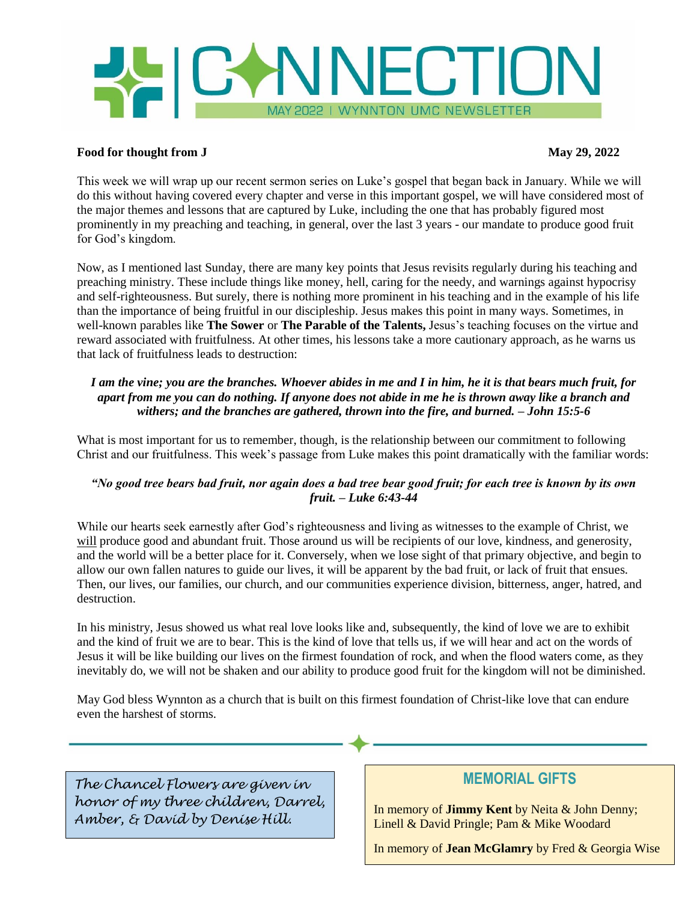

### **Food for thought from J** May 29, 2022

This week we will wrap up our recent sermon series on Luke's gospel that began back in January. While we will do this without having covered every chapter and verse in this important gospel, we will have considered most of the major themes and lessons that are captured by Luke, including the one that has probably figured most prominently in my preaching and teaching, in general, over the last 3 years - our mandate to produce good fruit for God's kingdom.

Now, as I mentioned last Sunday, there are many key points that Jesus revisits regularly during his teaching and preaching ministry. These include things like money, hell, caring for the needy, and warnings against hypocrisy and self-righteousness. But surely, there is nothing more prominent in his teaching and in the example of his life than the importance of being fruitful in our discipleship. Jesus makes this point in many ways. Sometimes, in well-known parables like **The Sower** or **The Parable of the Talents,** Jesus's teaching focuses on the virtue and reward associated with fruitfulness. At other times, his lessons take a more cautionary approach, as he warns us that lack of fruitfulness leads to destruction:

## *I am the vine; you are the branches. Whoever abides in me and I in him, he it is that bears much fruit, for apart from me you can do nothing. If anyone does not abide in me he is thrown away like a branch and withers; and the branches are gathered, thrown into the fire, and burned. – John 15:5-6*

What is most important for us to remember, though, is the relationship between our commitment to following Christ and our fruitfulness. This week's passage from Luke makes this point dramatically with the familiar words:

## *"No good tree bears bad fruit, nor again does a bad tree bear good fruit; for each tree is known by its own fruit. – Luke 6:43-44*

While our hearts seek earnestly after God's righteousness and living as witnesses to the example of Christ, we will produce good and abundant fruit. Those around us will be recipients of our love, kindness, and generosity, and the world will be a better place for it. Conversely, when we lose sight of that primary objective, and begin to allow our own fallen natures to guide our lives, it will be apparent by the bad fruit, or lack of fruit that ensues. Then, our lives, our families, our church, and our communities experience division, bitterness, anger, hatred, and destruction.

In his ministry, Jesus showed us what real love looks like and, subsequently, the kind of love we are to exhibit and the kind of fruit we are to bear. This is the kind of love that tells us, if we will hear and act on the words of Jesus it will be like building our lives on the firmest foundation of rock, and when the flood waters come, as they inevitably do, we will not be shaken and our ability to produce good fruit for the kingdom will not be diminished.

May God bless Wynnton as a church that is built on this firmest foundation of Christ-like love that can endure even the harshest of storms.

*The Chancel Flowers are given in honor of my three children, Darrel, Amber, & David by Denise Hill.*

# **MEMORIAL GIFTS**

In memory of **Jimmy Kent** by Neita & John Denny; Linell & David Pringle; Pam & Mike Woodard

In memory of **Jean McGlamry** by Fred & Georgia Wise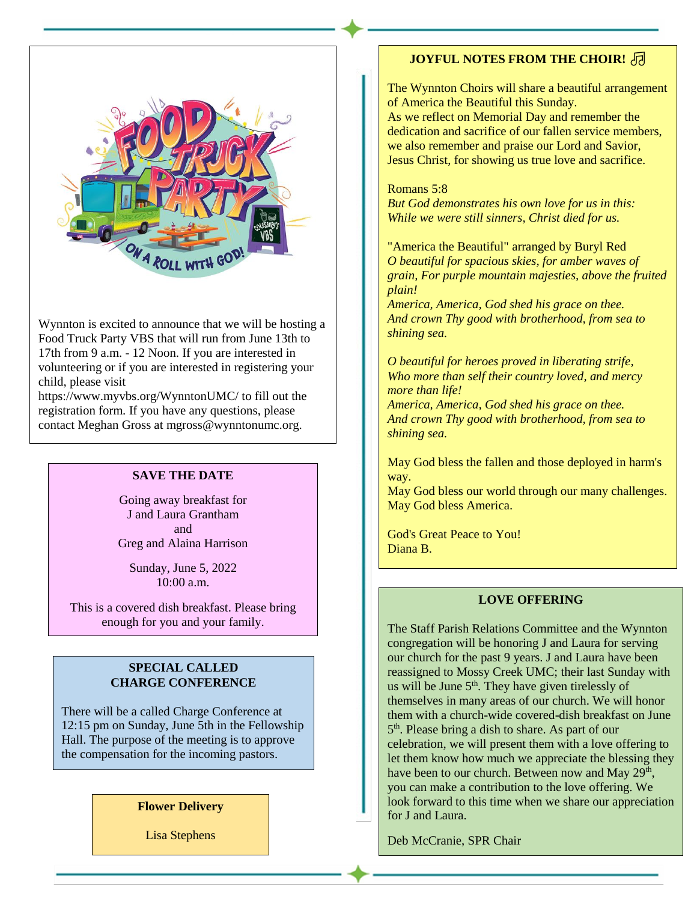

Wynnton is excited to announce that we will be hosting a Food Truck Party VBS that will run from June 13th to 17th from 9 a.m. - 12 Noon. If you are interested in volunteering or if you are interested in registering your child, please visit

https://www.myvbs.org/WynntonUMC/ to fill out the registration form. If you have any questions, please contact Meghan Gross at mgross@wynntonumc.org.

### **SAVE THE DATE**

Going away breakfast for J and Laura Grantham and Greg and Alaina Harrison

Sunday, June 5, 2022 10:00 a.m.

This is a covered dish breakfast. Please bring enough for you and your family.

#### **SPECIAL CALLED CHARGE CONFERENCE**

There will be a called Charge Conference at 12:15 pm on Sunday, June 5th in the Fellowship Hall. The purpose of the meeting is to approve the compensation for the incoming pastors.

### **Flower Delivery**

Lisa Stephens

## **JOYFUL NOTES FROM THE CHOIR!** 同

The Wynnton Choirs will share a beautiful arrangement of America the Beautiful this Sunday.

As we reflect on Memorial Day and remember the dedication and sacrifice of our fallen service members, we also remember and praise our Lord and Savior, Jesus Christ, for showing us true love and sacrifice.

Romans 5:8 *But God demonstrates his own love for us in this: While we were still sinners, Christ died for us.* 

"America the Beautiful" arranged by Buryl Red *O beautiful for spacious skies, for amber waves of grain, For purple mountain majesties, above the fruited plain!*

*America, America, God shed his grace on thee. And crown Thy good with brotherhood, from sea to shining sea.*

*O beautiful for heroes proved in liberating strife, Who more than self their country loved, and mercy more than life!*

*America, America, God shed his grace on thee. And crown Thy good with brotherhood, from sea to shining sea.*

May God bless the fallen and those deployed in harm's way.

May God bless our world through our many challenges. May God bless America.

God's Great Peace to You! Diana B.

#### **LOVE OFFERING**

The Staff Parish Relations Committee and the Wynnton congregation will be honoring J and Laura for serving our church for the past 9 years. J and Laura have been reassigned to Mossy Creek UMC; their last Sunday with us will be June  $5<sup>th</sup>$ . They have given tirelessly of themselves in many areas of our church. We will honor them with a church-wide covered-dish breakfast on June 5<sup>th</sup>. Please bring a dish to share. As part of our celebration, we will present them with a love offering to let them know how much we appreciate the blessing they have been to our church. Between now and May  $29<sup>th</sup>$ , you can make a contribution to the love offering. We look forward to this time when we share our appreciation for J and Laura.

Deb McCranie, SPR Chair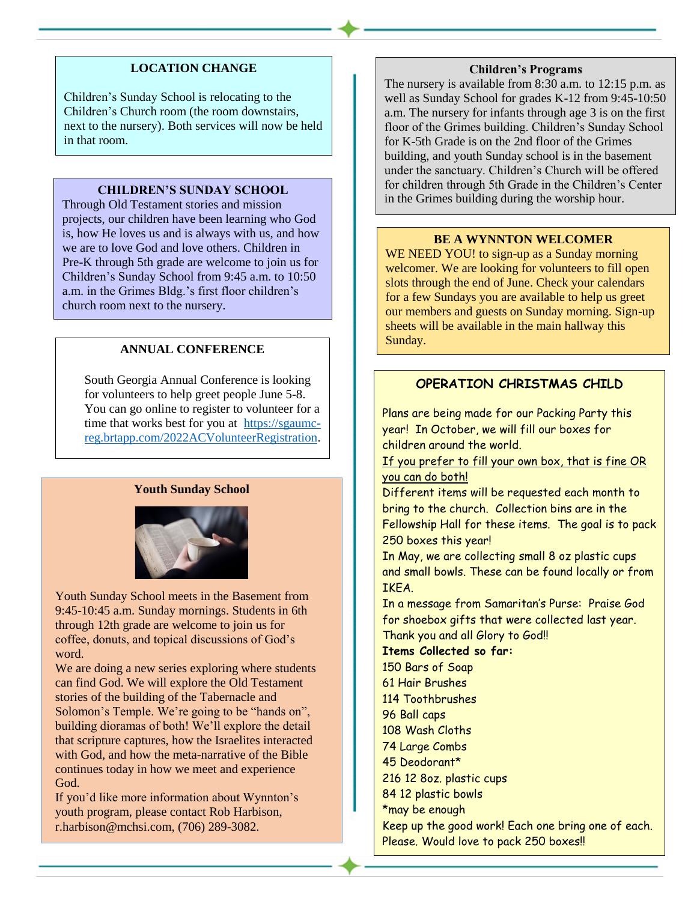## **LOCATION CHANGE**

Children's Sunday School is relocating to the Children's Church room (the room downstairs, next to the nursery). Both services will now be held in that room.

### **CHILDREN'S SUNDAY SCHOOL**

Through Old Testament stories and mission projects, our children have been learning who God is, how He loves us and is always with us, and how we are to love God and love others. Children in Pre-K through 5th grade are welcome to join us for Children's Sunday School from 9:45 a.m. to 10:50 a.m. in the Grimes Bldg.'s first floor children's church room next to the nursery.

## **ANNUAL CONFERENCE**

South Georgia Annual Conference is looking for volunteers to help greet people June 5-8. You can go online to register to volunteer for a time that works best for you at [https://sgaumc](https://sgaumc-reg.brtapp.com/2022ACVolunteerRegistration)[reg.brtapp.com/2022ACVolunteerRegistration.](https://sgaumc-reg.brtapp.com/2022ACVolunteerRegistration)

#### **Youth Sunday School**



Youth Sunday School meets in the Basement from 9:45-10:45 a.m. Sunday mornings. Students in 6th through 12th grade are welcome to join us for coffee, donuts, and topical discussions of God's word.

We are doing a new series exploring where students can find God. We will explore the Old Testament stories of the building of the Tabernacle and Solomon's Temple. We're going to be "hands on", building dioramas of both! We'll explore the detail that scripture captures, how the Israelites interacted with God, and how the meta-narrative of the Bible continues today in how we meet and experience God.

If you'd like more information about Wynnton's youth program, please contact Rob Harbison, r.harbison@mchsi.com, (706) 289-3082.

#### **Children's Programs**

The nursery is available from 8:30 a.m. to 12:15 p.m. as well as Sunday School for grades K-12 from 9:45-10:50 a.m. The nursery for infants through age 3 is on the first floor of the Grimes building. Children's Sunday School for K-5th Grade is on the 2nd floor of the Grimes building, and youth Sunday school is in the basement under the sanctuary. Children's Church will be offered for children through 5th Grade in the Children's Center in the Grimes building during the worship hour.

#### **BE A WYNNTON WELCOMER**

WE NEED YOU! to sign-up as a Sunday morning welcomer. We are looking for volunteers to fill open slots through the end of June. Check your calendars for a few Sundays you are available to help us greet our members and guests on Sunday morning. Sign-up sheets will be available in the main hallway this Sunday.

## **OPERATION CHRISTMAS CHILD**

Plans are being made for our Packing Party this year! In October, we will fill our boxes for children around the world.

If you prefer to fill your own box, that is fine OR you can do both!

Different items will be requested each month to bring to the church. Collection bins are in the Fellowship Hall for these items. The goal is to pack 250 boxes this year!

In May, we are collecting small 8 oz plastic cups and small bowls. These can be found locally or from IKEA.

In a message from Samaritan's Purse: Praise God for shoebox gifts that were collected last year. Thank you and all Glory to God!!

## **Items Collected so far:** 150 Bars of Soap

61 Hair Brushes 114 Toothbrushes 96 Ball caps 108 Wash Cloths 74 Large Combs 45 Deodorant\* 216 12 8oz. plastic cups 84 12 plastic bowls \*may be enough Keep up the good work! Each one bring one of each. Please. Would love to pack 250 boxes!!